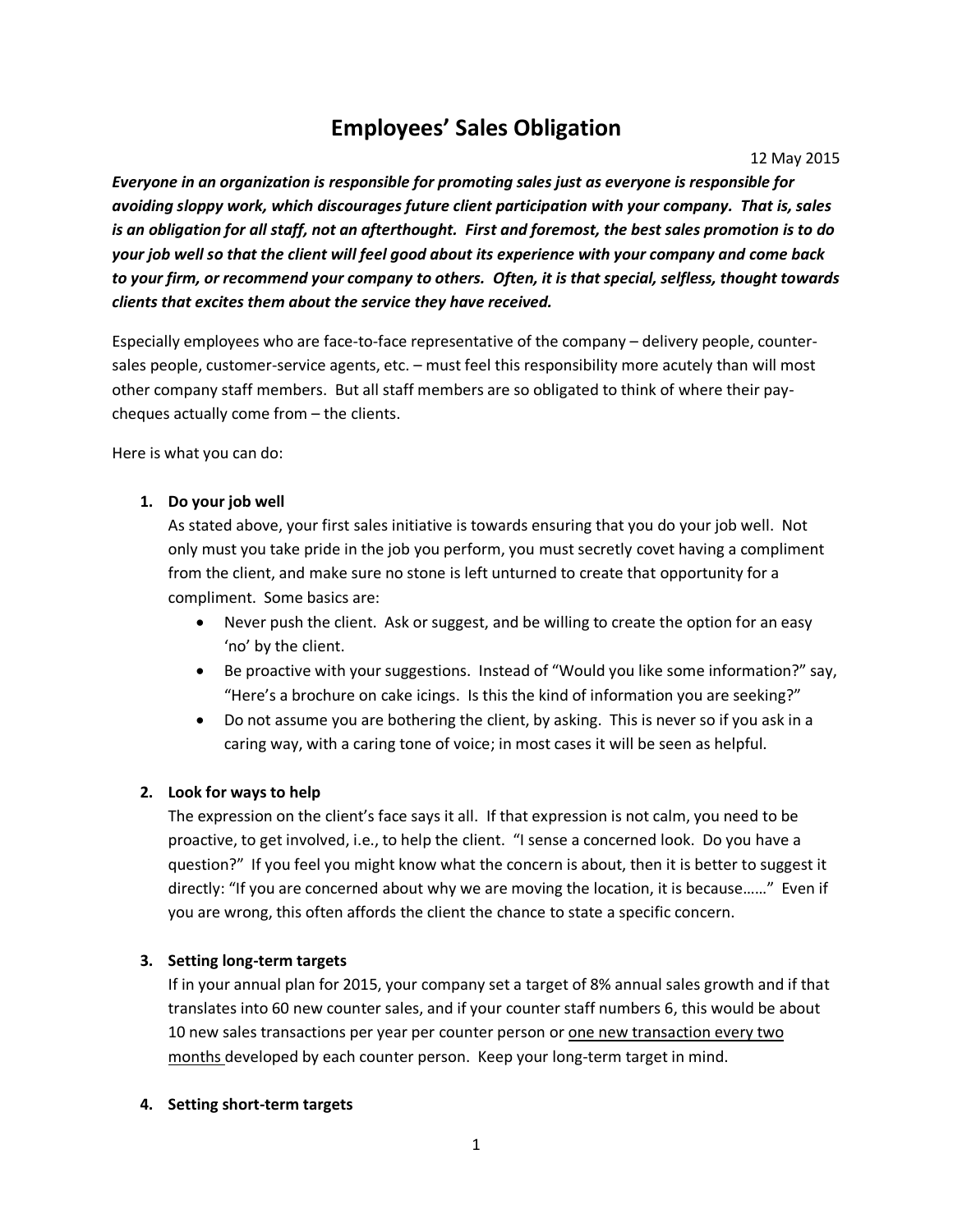# **Employees' Sales Obligation**

12 May 2015

*Everyone in an organization is responsible for promoting sales just as everyone is responsible for avoiding sloppy work, which discourages future client participation with your company. That is, sales is an obligation for all staff, not an afterthought. First and foremost, the best sales promotion is to do your job well so that the client will feel good about its experience with your company and come back to your firm, or recommend your company to others. Often, it is that special, selfless, thought towards clients that excites them about the service they have received.*

Especially employees who are face-to-face representative of the company – delivery people, countersales people, customer-service agents, etc. – must feel this responsibility more acutely than will most other company staff members. But all staff members are so obligated to think of where their paycheques actually come from – the clients.

Here is what you can do:

### **1. Do your job well**

As stated above, your first sales initiative is towards ensuring that you do your job well. Not only must you take pride in the job you perform, you must secretly covet having a compliment from the client, and make sure no stone is left unturned to create that opportunity for a compliment. Some basics are:

- Never push the client. Ask or suggest, and be willing to create the option for an easy 'no' by the client.
- Be proactive with your suggestions. Instead of "Would you like some information?" say, "Here's a brochure on cake icings. Is this the kind of information you are seeking?"
- Do not assume you are bothering the client, by asking. This is never so if you ask in a caring way, with a caring tone of voice; in most cases it will be seen as helpful.

## **2. Look for ways to help**

The expression on the client's face says it all. If that expression is not calm, you need to be proactive, to get involved, i.e., to help the client. "I sense a concerned look. Do you have a question?" If you feel you might know what the concern is about, then it is better to suggest it directly: "If you are concerned about why we are moving the location, it is because……" Even if you are wrong, this often affords the client the chance to state a specific concern.

#### **3. Setting long-term targets**

If in your annual plan for 2015, your company set a target of 8% annual sales growth and if that translates into 60 new counter sales, and if your counter staff numbers 6, this would be about 10 new sales transactions per year per counter person or one new transaction every two months developed by each counter person. Keep your long-term target in mind.

#### **4. Setting short-term targets**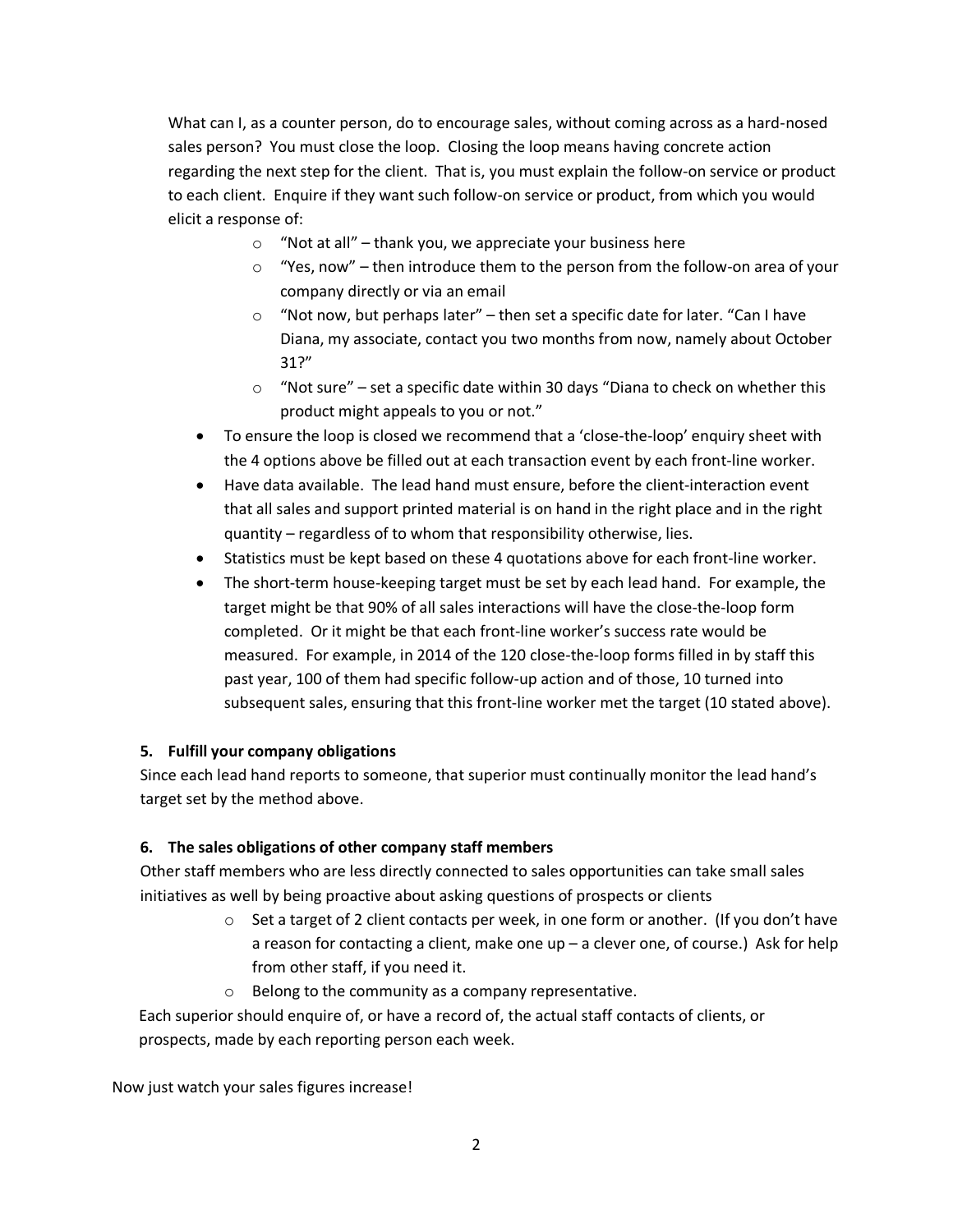What can I, as a counter person, do to encourage sales, without coming across as a hard-nosed sales person? You must close the loop. Closing the loop means having concrete action regarding the next step for the client. That is, you must explain the follow-on service or product to each client. Enquire if they want such follow-on service or product, from which you would elicit a response of:

- $\circ$  "Not at all" thank you, we appreciate your business here
- $\circ$  "Yes, now" then introduce them to the person from the follow-on area of your company directly or via an email
- o "Not now, but perhaps later" then set a specific date for later. "Can I have Diana, my associate, contact you two months from now, namely about October 31?"
- o "Not sure" set a specific date within 30 days "Diana to check on whether this product might appeals to you or not."
- To ensure the loop is closed we recommend that a 'close-the-loop' enquiry sheet with the 4 options above be filled out at each transaction event by each front-line worker.
- Have data available. The lead hand must ensure, before the client-interaction event that all sales and support printed material is on hand in the right place and in the right quantity – regardless of to whom that responsibility otherwise, lies.
- Statistics must be kept based on these 4 quotations above for each front-line worker.
- The short-term house-keeping target must be set by each lead hand. For example, the target might be that 90% of all sales interactions will have the close-the-loop form completed. Or it might be that each front-line worker's success rate would be measured. For example, in 2014 of the 120 close-the-loop forms filled in by staff this past year, 100 of them had specific follow-up action and of those, 10 turned into subsequent sales, ensuring that this front-line worker met the target (10 stated above).

## **5. Fulfill your company obligations**

Since each lead hand reports to someone, that superior must continually monitor the lead hand's target set by the method above.

## **6. The sales obligations of other company staff members**

Other staff members who are less directly connected to sales opportunities can take small sales initiatives as well by being proactive about asking questions of prospects or clients

- o Set a target of 2 client contacts per week, in one form or another. (If you don't have a reason for contacting a client, make one up – a clever one, of course.) Ask for help from other staff, if you need it.
- o Belong to the community as a company representative.

Each superior should enquire of, or have a record of, the actual staff contacts of clients, or prospects, made by each reporting person each week.

Now just watch your sales figures increase!